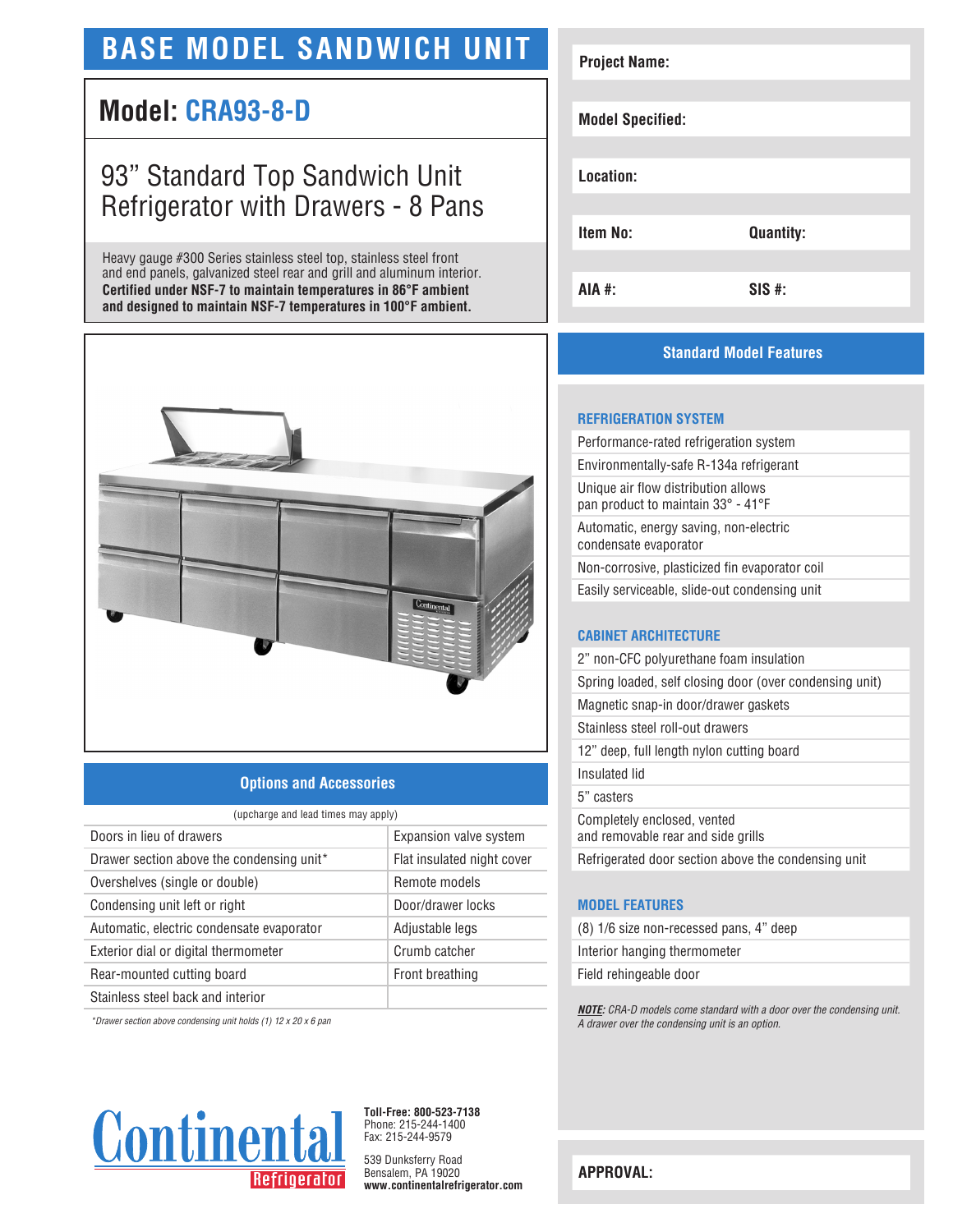# **BASE MODEL SANDWICH UNIT**

### **Model: CRA93-8-D**

## 93" Standard Top Sandwich Unit Refrigerator with Drawers - 8 Pans

Heavy gauge #300 Series stainless steel top, stainless steel front and end panels, galvanized steel rear and grill and aluminum interior. **Certified under NSF-7 to maintain temperatures in 86°F ambient and designed to maintain NSF-7 temperatures in 100°F ambient.**



#### **Options and Accessories**

| (upcharge and lead times may apply)                   |                            |
|-------------------------------------------------------|----------------------------|
| Doors in lieu of drawers                              | Expansion valve system     |
| Drawer section above the condensing unit <sup>*</sup> | Flat insulated night cover |
| Overshelves (single or double)                        | Remote models              |
| Condensing unit left or right                         | Door/drawer locks          |
| Automatic, electric condensate evaporator             | Adjustable legs            |
| Exterior dial or digital thermometer                  | Crumb catcher              |
| Rear-mounted cutting board                            | Front breathing            |
| Stainless steel back and interior                     |                            |

*\*Drawer section above condensing unit holds (1) 12 x 20 x 6 pan*



**Toll-Free: 800-523-7138** Phone: 215-244-1400 Fax: 215-244-9579

539 Dunksferry Road Bensalem, PA 19020 **www.continentalrefrigerator.com** 

| <b>Project Name:</b>    |                  |
|-------------------------|------------------|
|                         |                  |
|                         |                  |
| <b>Model Specified:</b> |                  |
|                         |                  |
| Location:               |                  |
|                         |                  |
|                         |                  |
| <b>Item No:</b>         | <b>Quantity:</b> |
|                         |                  |
| AIA #:                  | $SIS$ #:         |
|                         |                  |

#### **Standard Model Features**

#### **REFRIGERATION SYSTEM**

| Performance-rated refrigeration system                                    |
|---------------------------------------------------------------------------|
| Environmentally-safe R-134a refrigerant                                   |
| Unique air flow distribution allows<br>pan product to maintain 33° - 41°F |
| Automatic, energy saving, non-electric<br>condensate evaporator           |
| Non-corrosive, plasticized fin evaporator coil                            |
| Easily serviceable, slide-out condensing unit                             |
|                                                                           |
| <b>CABINET ARCHITECTURE</b>                                               |

| 2" non-CFC polyurethane foam insulation                           |
|-------------------------------------------------------------------|
| Spring loaded, self closing door (over condensing unit)           |
| Magnetic snap-in door/drawer gaskets                              |
| Stainless steel roll-out drawers                                  |
| 12" deep, full length nylon cutting board                         |
| Insulated lid                                                     |
| 5" casters                                                        |
| Completely enclosed, vented<br>and removable rear and side grills |
| Refrigerated door section above the condensing unit               |

#### **MODEL FEATURES**

(8) 1/6 size non-recessed pans, 4" deep

Interior hanging thermometer

Field rehingeable door

*NOTE: CRA-D models come standard with a door over the condensing unit. A drawer over the condensing unit is an option.*

**APPROVAL:**